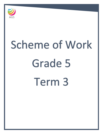

# Scheme of Work Grade 5 Term 3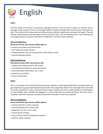

# **Unit 1**

This four-week unit focuses on persuasive language and how it can be used to express an opinion, send a message or give a point-of-view. It encourages pupils to analyse text types that are persuasive, informative or both. The learners will compare texts according to style, audience, organisation, purpose and impact. They will identify textual features and persuasive devices of various texts. The unit develops their critical thinking and encourages learners to express themselves confidently in oral and written activities.

# **Aims and objectives:**

# **By the end of this unit, learners will be able to:**

- analyse and compare persuasive texts
- learn about persuasive devices
- understand that a text can be persuasive, informative or both
- practise being persuasive

### **Skills development:**

### **During the course of this unit, learners will:**

- analyse and compare posters and reviews
- use powerful vocabulary to sound persuasive
- read and analyse information, e.g. a map
- present an oral review
- write a formal letter

# **Unit 2**

This is a two-week unit covering performance poetry and plays. Pupils enjoy performing a nonsense poem and gain experience in group work and performance skills. They apply these skills to the next stage of the unit which is to write and perform a play. They learn how to adapt a simple story into a script and focus on the features of script writing. They complete the dialogue in a script using their own words and ideas. Once the script is complete, they work in groups to practise and perform the play in front of an audience.

# **Aims and objectives:**

# **By the end of this unit, learners will be able to:**

- read and perform a poem in groups
- identify the features of a play script
- adapt part of a story into a script
- choose words carefully
- use a script to create and develop characters
- perform a play in groups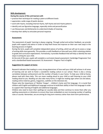#### **Skills development:**

#### **During the course of this unit learners will:**

- practise their technique for reading a poem at different levels
- appreciate a wide range of poetic devices
- work with rhyme, including internal rhyme, half rhyme and end rhyme patterns
- identify and use figurative language, especially simile and personification
- use thesauruses and dictionaries to understand shades of meaning
- develop their ability to articulate personal response

#### **Assessment:**

The assessment of pupils' learning is always ongoing. Through verbal and written feedback, we provide pupils with support and advice in order to help them know and improve on their own next steps in the learning process in English.

During the term, pupils will complete independent pieces of writing, which we will use to assess a range of writing skills more generally. This provides us with feedback on how well your child is attaining relative to grade and curriculum expectations. Formatively, it provides feedback that will help us identify the next steps in writing for your child.

At the end of the year, pupils will complete a curriculum-based assessment: Cambridge Progression Test and a standardized based assessment: GL Assessment - Progress Test in English.

#### **Suggestions for support at home:**

Research indicates that reading is a very strong determiner of how well your child will achieve in all areas of learning and we wish to foster a wonderful reading culture in our school. There is also a strong correlation between achievement and the number of books in your home. To help your child at home, please read with them daily. This can mean reading aloud to your child as well listening to your child reading aloud to you. Reading can also take many forms; it might be reading signs when out and about, reading online material, games, magazines, subtitles on the television etc.

Please note the importance of 'Mother Tongue' – children's home and first language. It is crucial that children with English and Additional Language continue to build their ability in their first language in order to support their learning of English and additional languages.

Children also need to learn their spellings (or sounds) daily and then continue to revise them after any spelling assessments or dictations to ensure they have embedded an ever-increasing number of spelling rules or sounds. Remember, we are aiming for long term memory rather than short term performance.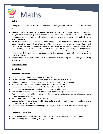

# **Unit 1**

During the first few weeks, we will work on number, including time for revision. The topics we will cover are:

- **Mental strategies:** Learners have an opportunity to revise and consolidate objectives covered earlier in the year and further develop their calculation fluency with all four operations. They are encouraged to use appropriate methods for all calculations and use their repertoire of known facts and skills when solving problems.
- **Calculation:** Learners add and subtract numbers including those with the same number of decimal places using efficient, compact methods of recording. They understand the relationship between division and fractions and deal with remainders according to the context of the question. Learners deepen their understanding of how to use multiplication and division strategies, through solving multistep problems. Learners recognise links between mathematical operations and understand that brackets may be necessary to define the order of operations, as well as applying the order of operations law using BIDMAS/BODMAS.
- **Problem solving in context:** Learners select, use and apply understanding, skills and strategies in solving problems.

### **Learning objectives:**

#### **Calculation**

# **Addition & Subtraction**

- Round four-digit numbers to the nearest 10, 100 or 1000
- Round a number with one or two decimal places to the nearest whole number
- Estimate and approximate when calculating, e.g. using rounding, and check working
- Know by heart pairs of one-place decimals with a total of 1, e.g. 0.8 + 0.2
- Derive quickly pairs of decimals with a total of 10, and with a total of 1
- Count on or back in thousands, hundreds, tens and ones to add or subtract
- Find the total of more than three two- or three-digit numbers using a written method
- Add or subtract any pair of three- and/or four-digit numbers, with the same number of decimal places, including amounts of money
- Add or subtract near multiples of 10 or 100, e.g. 4387 299
- Use appropriate strategies to add or subtract pairs of two- and three-digit numbers and number with one decimal place, using jottings where necessary
- Calculate differences between near multiples of 1000, e.g. 5026 4998, or near multiples of 1, e.g. 3.2 2.6

# **Multiplication & Division**

- Know multiplication and division facts for the 2× to 10× tables and represent them using arrays
- Know and apply tests of divisibility by 2, 5, 10 and 100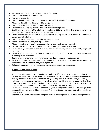- Recognise multiples of 6, 7, 8 and 9 up to the 10th multiple
- Know squares of all numbers to  $10 \times 10$
- Find factors of two-digit numbers
- Multiply multiples of 10 to 90, and multiples of 100 to 900, by a single-digit number
- Multiply by 19 or 21 by multiplying by 20 and adjusting
- Multiply by 25 by multiplying by 100 and dividing by 4
- Use factors to multiply, e.g. multiply by 3, then double to multiply by 6
- Double any number up to 100 and halve even numbers to 200 and use this to double and halve numbers with one or two decimal places, e.g. double 3.4 and half of 8.6
- Double multiples of 10 to 1000 and multiples of 100 to 10 000, e.g. double 360 or double 3600, and derive the corresponding halves
- Multiply or divide three-digit numbers by single-digit numbers
- Multiply two-digit numbers by two-digit numbers
- Multiply two-digit numbers with one decimal place by single-digit numbers, e.g.  $3.6 \times 7$
- Divide three-digit numbers by single-digit numbers, including those with a remainder
- Start expressing remainders as a fraction of the divisor when dividing two-digit numbers by single-digit numbers
- Decide whether to group (using multiplication facts and multiples of the divisor) or to share (halving and quartering) to solve divisions
- Decide whether to round an answer up or down after division, depending on the context
- Begin to use brackets to order operations and understand the relationship between the four operations and how the laws of arithmetic apply to multiplication
- Estimate and approximate when calculating, e.g. using rounding, and check working

# **Suggestions for support at home**

The mathematics work your child is doing may look very different to the work you remember. This is because learners are encouraged to work mentally where possible, using personal jottings to support their thinking. Ask them to show you what they are doing and help them to recall table facts, if necessary. Help your child become a confident user of calculators. Allowing children to use a calculator to check their

answers from time to time is useful. Help your child to recognise that the calculator is a tool of which they are in control and to understand how it can help them to develop their mathematics.

Children can learn how to use a calculator effectively and to recognise how and when it is appropriate to use one. Please allow your child to first decide if mental and pencil-and-paper methods are quicker or more reliable.

Note that to use a calculator effectively requires a secure knowledge of number, which is the prime aim.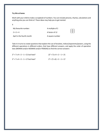# **Try this at home**

4

Work with your child to make a scrapbook of numbers. You can include pictures, rhymes, calculations and anything else you can think of. These ideas may help you to get started:

| My favourite number:      | A multiple of 2 |
|---------------------------|-----------------|
| $2 \times 2 = 4$          | A factor of 12  |
| April is the fourth month | A square number |

Take it in turns to create questions that explore the use of brackets, indices/exponents/powers, using the different operations in different orders, that have different answers, and apply the order of operation laws (BIDMAS and/or BODMAS and/or PEMDAS) to find the correct answers:

| $2^2$ + 7 x 4 ÷ 2 – 1 = 21 but how? | $(2^2 + 7) \times 4 \div 2 - 1 = 21$ |
|-------------------------------------|--------------------------------------|
| $2^2$ + 7 x 4 ÷ 2 – 1 = 17 but how? | $2^2 + (7 \times 4) \div 2 - 1 = 17$ |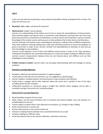# **Unit 2**

In this unit, we will work on geometry, measurement and problem solving, including time for revision. The topics we will cover are:

- **Geometry:** Right angles, symmetry & movement
- **Measurement:** Length, mass & capacity

Learners use understanding of the relative size of units to assess the reasonableness of measurements. They estimate lengths and measure lines in centimetres and millimetres and draw their own lines from given measurements in centimetres and millimetres, as well as metres and centimetres. Learners combine knowledge of the number system and measures to solve problems that involve metres and kilometres. Learners estimate and measure mass using kilograms and grams, reading scales on different equipment. They solve problems involving reading mass scales and converting measures of mass from kilograms to grams to put them in order of size. Learners consider the reasonableness of estimates of mass and use their knowledge to solve problems.

Learners record capacity in units of litres and millilitres and put these in order of size. They interpret a reading that lies between two unnumbered divisions on a scale and compare readings on different scales. Learners convert measurements between litres (to one decimal place) and millilitres and use their knowledge to solve problems.

 **Problem solving in context:** Learners select, use and apply understanding, skills and strategies in solving problems.

# **Geometry Learning objectives:**

- Recognise reflective and rotational symmetry in regular polygons
- Create patterns with two lines of symmetry, e.g. on a pegboard or squared paper
- Learners explore, complete patterns and solve puzzles using translation and reflection
- Predict where a polygon will be after reflection where the mirror line is parallel to one of the sides, including where the line is oblique
- Understand translation as movement along a straight line, identify where polygons will be after a translation and give instructions for translating shapes

#### **Measurement Learning Objectives:**

- Read timetables using the 24-hour clock
- Read, choose, use and record standard units to estimate and measure length, mass and capacity to a suitable degree of accuracy
- Convert larger to smaller metric units (decimals to one place), e.g. change 2.6 kg to 2600 g
- Order measurements in mixed units
- Round measurements to the nearest whole unit
- Interpret a reading that lies between two unnumbered divisions on a scale
- Compare readings on different scales
- Draw and measure lines to the nearest millimetre, centimetre and metre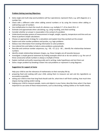# **Problem Solving Learning Objectives:**

- Solve single and multi-step word problems (all four operations); represent them, e.g. with diagrams or a number line
- Check with a different order when adding several numbers or by using the inverse when adding or subtracting a pair of numbers
- Use multiplication to check the result of a division, e.g. multiply  $3.7 \times 8$  to check 29.6 ÷ 8
- Estimate and approximate when calculating, e.g. using rounding, and check working
- Consider whether an answer is reasonable in the context of a problem
- Understand everyday systems of measurement in length, weight, capacity, temperature and time and use these to perform simple calculations
- Choose an appropriate strategy for a calculation and explain how they worked out the answer
- Explore and solve number problems and puzzles, e.g. logic problems
- Deduce new information from existing information to solve problems
- Use ordered lists and tables to help to solve problems systematically
- Describe and continue number sequences, e.g.  $-30$ ,  $-27$ ,  $\boxed{2}$ ,  $\boxed{2}$ ,  $-18...$ ; identify the relationships between numbers
- Identify simple relationships between shapes, e.g. these triangles are all isosceles because
- Investigate a simple general statement by finding examples which do or do not satisfy it, e.g. the sum of three consecutive whole numbers is always a multiple of three
- Explain methods and justify reasoning orally and in writing; make hypotheses and test them out
- Solve a larger problem by breaking it down into sub-problems or represent it using diagrams

# **Suggestions for support at home**

Help your child to see the relevance of mathematics to their everyday life by:

- preparing food and cooking with your child, asking them to measure out wet and dry ingredients as accurately as possible.
- asking your child to time how long food should cook for, what time it will finish cooking, how much time elapses during cooking and/or eating.
- helping your child to measure people, rooms and objects in your home; describe times when it has been important to use some of these measurements, such as decorating, making clothes or for health checks.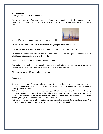#### **Try this at home**

Investigate this problem with your child.

Measure and cut 24cm of string, wool or thread. Try to make an equilateral triangle, a square, a regular hexagon and a regular octagon with the string as accurately as possible, measuring the length of each side.



Collect different containers and explore this with your child.

How much lemonade do we have to make so that everyone gets one cup? Two cups?

Plan for your family, or maybe a smaller group of children, or some toys having a party.

Pour one cupful of coloured water into each of some tall, thin and short fat transparent containers. Discuss what happens to the water level in each and why.

Discuss how we can calculate how much lemonade is needed.

Developing deeper understanding through looking at how much juice can be squeezed out of one lemon (on average) and how much sugar/water must be added to make it delicious.

Make a video journal of the whole learning process.

#### **Assessment**

The assessment of pupils' learning is always ongoing. Through verbal and written feedback, we provide pupils with support and advice in order to help them know and improve on their own next steps in the learning process in Maths.

At the end of every unit, pupils will be assessed against the learning objectives for that unit. However, pupils will continue to be assessed against these objectives and particularly the objectives they are finding more difficult, throughout the year. Parents will be given feedback on objectives that need more practise at home, through the parent consultation and reporting cycle.

At the end of the year, pupils will complete a curriculum-based assessment: Cambridge Progression Test and a standardised based assessment: GL Assessment - Progress Test in Maths.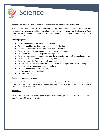

The final unit, which will be taught throughout the final term, is called 'Earth's Movements'.

This unit teaches the students to discuss knowledge already gained and what they would like to find out; research the knowledge and workings of scientists and astronomers in the past regarding the solar system; investigate the movements of the Earth and Moon using predictions, fair testing, observations, recording results and conclusions.

# **Learning Objectives**

- To revise the orbit of the Earth and the Moon
- To understand how the Earth moves in relation to the Sun
- To know that the earth rotates on its axis from west to east
- To know that the Earth completes one rotation every 24 hours
- To be able to set up an investigation with a prediction
- To know that sunrise and sunset times and the length of the day varies throughout the year
- To know that the Earth orbits the Sun every 365.25 days
- To know that as the Earth revolves, it spins on its axis
- To research how the ideas about the solar system have changed over the past 2000 years
- To know how astronomers research the solar system
- To understand the need for a fair test
- To conclude from an investigation
- To record results

# **Suggestions for support at home**

Encourage the students to build upon their knowledge of shadows, why shadows are longer in a sunny place near to the home. Observe the phases of the moon and discuss. Make models to help explain the Earth and Moon's movements.

# **Assessment**

Marking, tests, evidence collected by photographing work, videoing presentations etc. Plus, the 'Check Your Progress' at the end of the unit.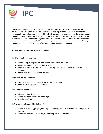

Our IPC unit for this term is called 'The Story of English'. English has 300 million native speakers in countries across the globe. It is the third most spoken language after Mandarin and Spanish but is the most popular second language in the world. English is an evolving language that has changed constantly throughout the 1500 years that it has been spoken. The story of how English has developed and grown, mirrors that of Britain and of today's global world. This a history based unit which will look at not only the origins of words used today but how the language has evolved over time. From the Celtic language through the different influences often following invasions up to the present day.

### **The unit will be taught cross-curricular as follows:**

#### **In History, we'll be finding out:**

- How the English language has developed over the last 1,500 years
- Who has invaded and settled in Britain over time
- What everyday life has been like for people living in Britain, and how this is reflected in their language
- How English has spread around the world

#### **In Technology, we'll be finding out:**

- How the invention of the printing press changed our world
- How to plan, design and create a book

#### **In Art, we'll be finding out:**

- About illuminated manuscripts
- How to create an illuminated manuscript
- Creating graffiti art

#### **In Physical Education, we'll be finding out:**

- How to play running, jumping, throwing and catching games similar to those children played in the past
- How to develop the rules and play a game using attack and defence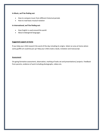#### **In Music, we'll be finding out:**

- How to compare music from different historical periods
- How to read basic musical notation

#### **In International, we'll be finding out:**

- How English is used around the world
- About endangered languages

# **Suggested support at home**

If you help your child research the word of the day including its origins. Select an area at home where some graffiti art could be put up! Help your child create a book, invitation and manuscript.

### **Assessment**

On-going formative assessment, observation, marking of tasks set and presentations/ projects. Feedback from parents, evidence of work including photographs, videos etc.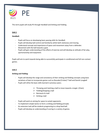

This term pupils will study PE through Handball and Striking and Fielding.

# **Unit 1**

# **Handball:**

- Pupils will focus on developing basic passing skills for Handball.
- Pupils will develop ball control and familiarity whilst both stationary and moving.
- Understand concept and importance of space and movement away from a defender.
- Movement with the ball towards a goal.
- Pupils will gain understanding of the effects of exercise and will develop an attitude of fair play, sportsmanship and enjoyment.

Pupils will aim to work towards being able to successfully participate in conditioned and full non-contact games.

# **Unit 2**

# **Striking and Fielding:**

- Pupils will develop the range and consistency of their striking and fielding concepts using basic variations of bats to incorporate games such as Rounder/Cricket/ T ball and Danish Longball
- Pupils will refine the basic skills learned in previous years;
	- $\triangleright$  Throwing and Catching a ball to move towards a target. (Chain)
	- $\triangleright$  Fielding/Stopping a ball
	- $\triangleright$  Retrieval of a ball
	- $\triangleright$  Striking a ball
- Pupils will work on aiming for space to outwit opponents.
- To implement simple tactics to form a striking and fielding principle.
- An extension task will be students progressing to a drop feed ball.
- Pupils will develop an understanding of scoring in a variety of games.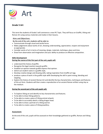

# **Grade 5 Art**

This term the students of Grade 5 will commence a new IPC Topic. They will focus on Graffiti, Viking and Roman Art using various materials and media in their lessons.

# **Aims and Objectives:**

# **By the end of the unit, students will be able to:**

- Communicate through visual and tactile forms
- Make judgements about works of art, showing understanding, appreciation, respect and enjoyment as appropriate.
- Consider works of art in terms of meaning, design, materials, technique, place and time.
- Draw from observation and imagination and your ability to produce an effective composition.

# **Skills Development**

# **During the course of this first part of the unit, pupils will:**

- understand the history of graffiti.
- Recognize the legal reaction towards graffiti.
- Establish an opinion towards graffiti express that opinion.
- sketch out student name in a graffiti style,
- Develop creative design and drawing skills, taking inspiration from Graffiti art tags.
- produce a piece of work in the graffiti style with Developing the skill in paint mixing, blending and stippling.
- Explore the history of ancient Roman Art and identify the key characteristics, techniques and features of this art form. Students will then create a reproduction of an ancient Roman artifact using clay as the medium.

# **During the second part of the unit pupils will,**

- To Explore Viking art and identify its key characteristics and features.
- To be able to draw Viking patterns.
- To be able to create a piece of Viking animal artwork.
- To be able to accurately sketch a Viking dragon head.
- To be able to draw a portrait of a Viking warrior.
- To be able to create a piece of Viking jewellery.

# **Assessment:**

At the end of the unit, pupils will be assessed on their knowledge gathered on graffiti, Roman and Viking art.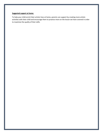# **Suggested support at home:**

To help your child enrich their artistic lives at home, parents can support by creating more artistic activities with their child and encourage them to practice more on the lesson we have covered in order to maximize the quality of their skills.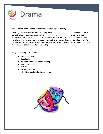

This term in Drama, Grade 5 students will be focusing on 'Devising'.

Devising often involves collaborative group work however can be done independently too. It consists of using the imagination and creating innovative ideas that come from one given stimulus; For instance, an image, a plot, a theme, a character, historical documents, an entire novel or a single line as a point of departure. In other words, students will be asked to create a variety of short performances/tasks which they have created using an idea or something I have given them to base it around and expand upon.

They will develop further skills in:

- Creative insight
- Imagination
- Vocal presence and public speaking
- **•** Communication
- Initiative
- Characterisation
- All whilst hopefully having some fun.

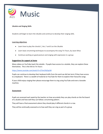

### **Ukulele and Singing Skills**

Students will begin to learn the Ukulele and continue to develop their singing skills.

#### **Learning objectives**

- Learn how to play the chords C, Am, F and G on the Ukulele
- Learn basic strumming techniques to accompany the song I'm Yours, by Jason Mraz
- Continue working on good posture and singing with expression in a group

### **Suggestions for support at home**

Many videos on YouTube teach the ukulele. If pupils have access to a ukulele, they can explore these themselves. This is the link to I'm Yours:

#### <https://www.youtube.com/watch?v=Z7tmCNJZqUM>

Pupils can continue to develop their keyboard skills from the work we did last term if they have access to a keyboard. There is a wealth of material on YouTube for them to explore their favourite songs.

If your child enjoys singing then please encourage them to sing using YouTube and even a karaoke machine.

#### **Assessment**

Pupils are assessed each week by the teacher on how accurately they can play chords on the fret board of a ukulele and how well they can follow a strumming pattern.

They will have a final assessment where they should play 4 different chords in a row.

They will be continually assessed as to how well they can sing as part of a group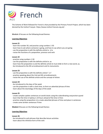

The Scheme of Work followed for French is that provided by the Primary French Project, which has been devised by the Institut Français https://www.institut-francais.org.uk/ .

**Module 3** focuses on the following broad themes:

#### **Learning Objectives**

#### **Lesson 21**

- learn the number 50, and practise using numbers 1-50
- learn how to ask where someone is going, and how to say where you are going
- use the preposition à with the definite article la : à la
- revise the functions of a preposition, pronoun and verb

#### **Lesson 22**

- practise using numbers 1-50
- use the preposition à with the definite article le: au
- learn how the preposition à and the definite article le must elide to form a new word, au.
- be introduced to the 4th arrondissement and its monuments.

#### **Lesson 23**

- use the preposition à with the definite article l': à l'
- practise speaking about the 2nd and 4th arrondissements
- revise the use of the definite article and the concept of elision.

#### **Lesson 24**

- be introduced to the days of the week
- use the preposition à with a clock time, to form an adverbial phrase of time
- learn about the etymology of the days of the week

#### **Lesson 25**

- create complex spoken sentences on world clocks using the subordinating conjunction quand
- learn that the time in Sydney is 10 hours ahead of the time in Paris
- practise using the preposition à to create adverbial phrases of time and place in sentences
- create some written sentences if time

**Module 4** focuses on the following broad themes:

#### **Learning Objectives**

#### **Lesson 26**

- be introduced to verb phrases that describe leisure activities
- learn about the infinitive form of the verb